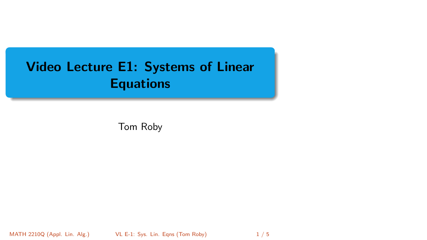## <span id="page-0-0"></span>Video Lecture E1: Systems of Linear **Equations**

Tom Roby

MATH 2210Q (Appl. Lin. Alg.) [VL E-1: Sys. Lin. Eqns](#page-4-0) (Tom Roby) 1/5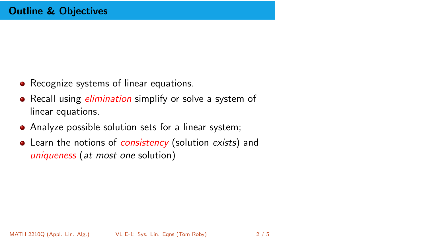- Recognize systems of linear equations.
- Recall using *elimination* simplify or solve a system of linear equations.
- Analyze possible solution sets for a linear system;
- Learn the notions of *consistency* (solution exists) and uniqueness (at most one solution)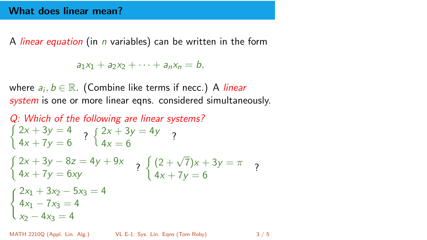A *linear equation* (in *n* variables) can be written in the form

 $a_1x_1 + a_2x_2 + \cdots + a_nx_n = b$ .

where  $a_i, b \in \mathbb{R}$ . (Combine like terms if necc.) A *linear* system is one or more linear egns. considered simultaneously.

Q: Which of the following are linear systems?  $\begin{cases} 2x + 3y = 4 \\ 4x + 7y = 6 \end{cases}$  ?  $\begin{cases} 2x + 3y = 4y \\ 4x = 6 \end{cases}$  $4x = 6$  $\int 2x + 3y - 8z = 4y + 9x$  $2x + 3y - 8z = 4y + 9x$ <br>  $4x + 7y = 6xy$ <br>  $2x + 3y = \pi$ <br>  $4x + 7y = 6$  $4x + 7y = 6$ <br>2<br>4x + 7y = 6  $(2x_1 + 3x_2 - 5x_3 = 4)$  $4x_1 - 7x_3 = 4$  $x_2 - 4x_3 = 4$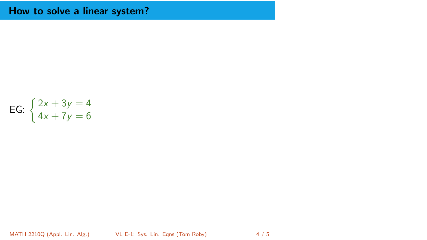## How to solve a linear system?

**EG:** 
$$
\begin{cases} 2x + 3y = 4 \\ 4x + 7y = 6 \end{cases}
$$